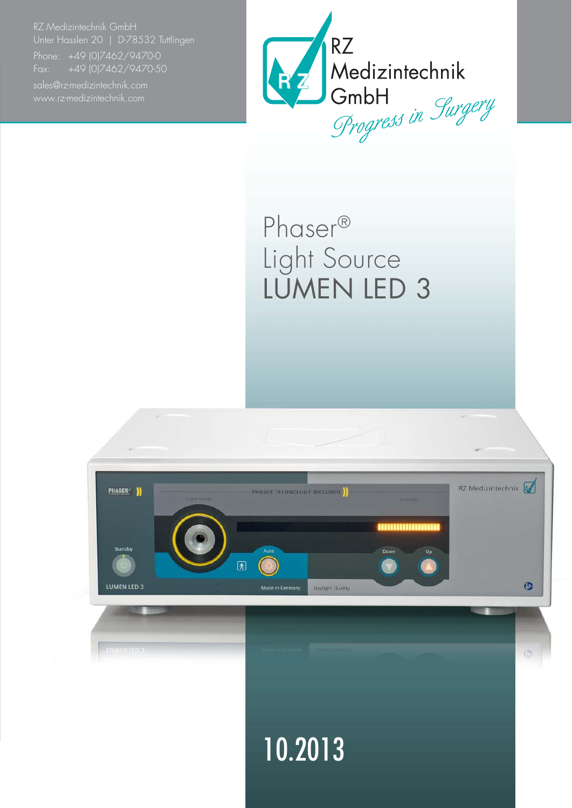RZ Medizintechnik GmbH Unter Hasslen 20 | D-78532 Tuttlingen

Fax: +49 (0)7462/9470-50



## Phaser® Light Source LUMEN LED 3

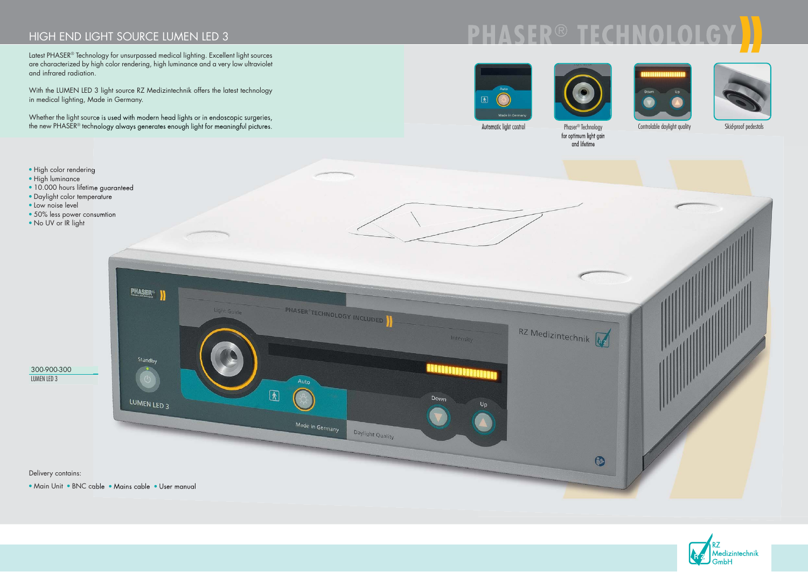## HIGH END LIGHT SOURCE LUMEN LED 3

Latest PHASER® Technology for unsurpassed medical lighting. Excellent light sources are characterized by high color rendering, high luminance and a very low ultraviolet and infrared radiation.







Automatic light control Phaser<sup>®</sup> Technology Controlable daylight quality

With the LUMEN LED 3 light source RZ Medizintechnik offers the latest technology in medical lighting, Made in Germany.

Whether the light source is used with modern head lights or in endoscopic surgeries, the new PHASER® technology always generates enough light for meaningful pictures.



PHA



- 
- High luminance
- 10.000 hours lifetime guaranteed
- 
- 
- 
- 

for optimum light gain and lifetime



Skid-proof pedestals